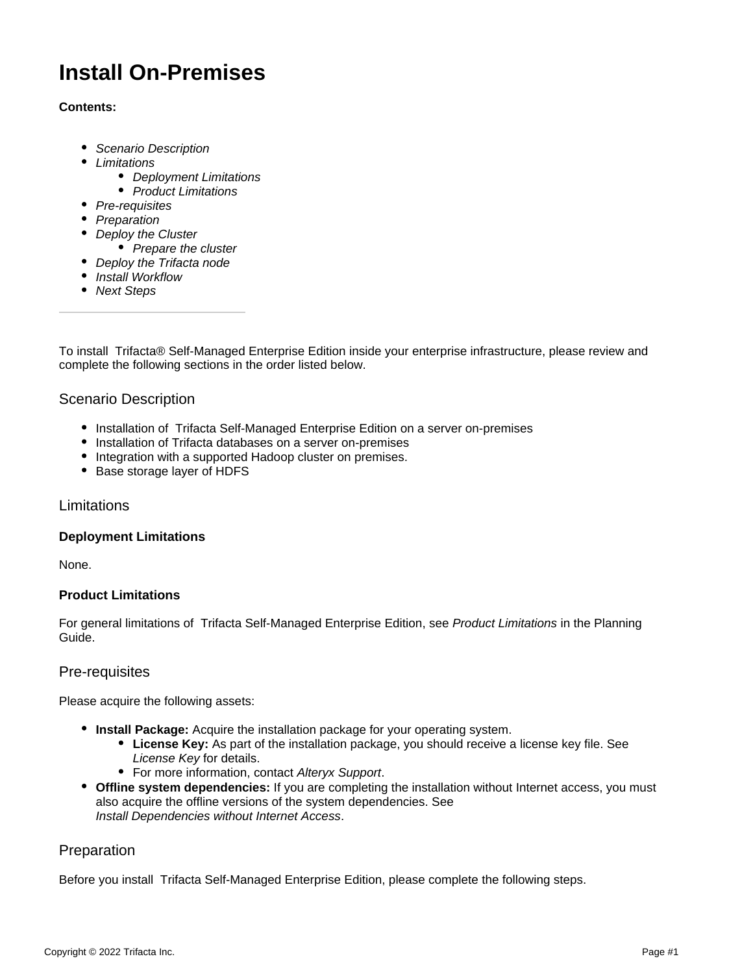# **Install On-Premises**

# **Contents:**

- [Scenario Description](#page-0-0)
- [Limitations](#page-0-1)
	- [Deployment Limitations](#page-0-2)
	- [Product Limitations](#page-0-3)
- [Pre-requisites](#page-0-4)
- [Preparation](#page-0-5)
- [Deploy the Cluster](#page-1-0)
	- [Prepare the cluster](#page-1-1)
- [Deploy the Trifacta node](#page-2-0)
- [Install Workflow](#page-2-1)
- [Next Steps](#page-2-2)

To install Trifacta® Self-Managed Enterprise Edition inside your enterprise infrastructure, please review and complete the following sections in the order listed below.

# <span id="page-0-0"></span>Scenario Description

- Installation of Trifacta Self-Managed Enterprise Edition on a server on-premises
- Installation of Trifacta databases on a server on-premises
- Integration with a supported Hadoop cluster on premises.
- Base storage layer of HDFS

# <span id="page-0-1"></span>**Limitations**

# <span id="page-0-2"></span>**Deployment Limitations**

None.

# <span id="page-0-3"></span>**Product Limitations**

For general limitations of Trifacta Self-Managed Enterprise Edition, see [Product Limitations](https://docs.trifacta.com/display/r082/Product+Limitations) in the Planning Guide.

# <span id="page-0-4"></span>Pre-requisites

Please acquire the following assets:

- **Install Package:** Acquire the installation package for your operating system.
	- **License Key:** As part of the installation package, you should receive a license key file. See [License Key](https://docs.trifacta.com/display/r082/License+Key) for details.
	- For more information, contact [Alteryx Support](https://docs.trifacta.com/display/HOME/Contact+Support).
- **Offline system dependencies:** If you are completing the installation without Internet access, you must also acquire the offline versions of the system dependencies. See [Install Dependencies without Internet Access](https://docs.trifacta.com/display/r082/Install+Dependencies+without+Internet+Access).

# <span id="page-0-5"></span>Preparation

Before you install Trifacta Self-Managed Enterprise Edition, please complete the following steps.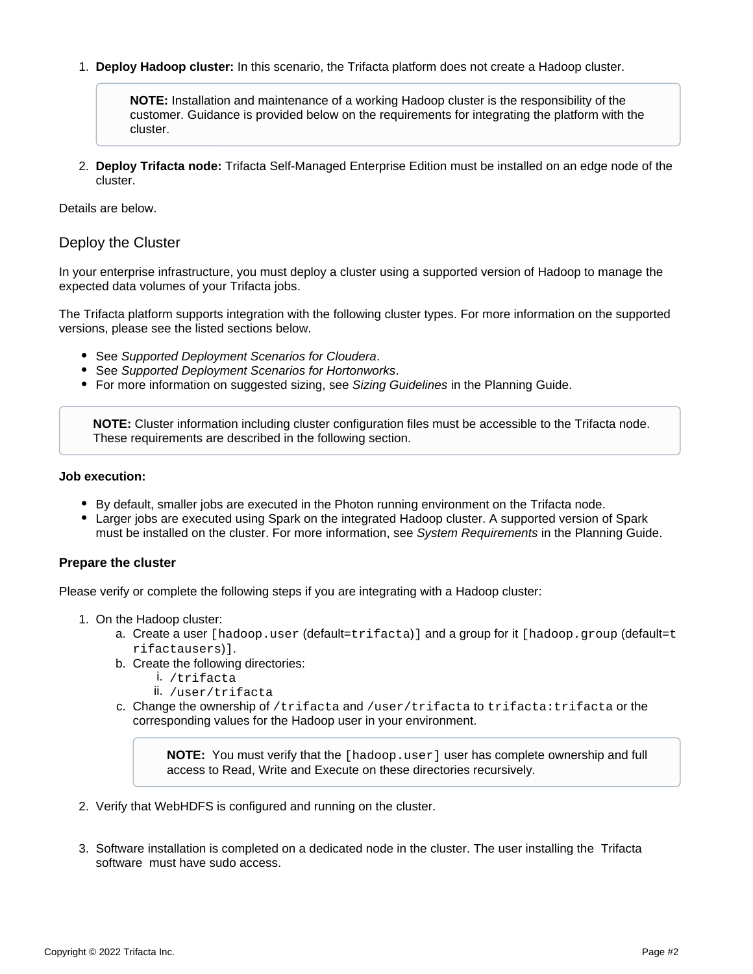1. **Deploy Hadoop cluster:** In this scenario, the Trifacta platform does not create a Hadoop cluster.

**NOTE:** Installation and maintenance of a working Hadoop cluster is the responsibility of the customer. Guidance is provided below on the requirements for integrating the platform with the cluster.

2. **Deploy Trifacta node:** Trifacta Self-Managed Enterprise Edition must be installed on an edge node of the cluster.

Details are below.

# <span id="page-1-0"></span>Deploy the Cluster

In your enterprise infrastructure, you must deploy a cluster using a supported version of Hadoop to manage the expected data volumes of your Trifacta jobs.

The Trifacta platform supports integration with the following cluster types. For more information on the supported versions, please see the listed sections below.

- See [Supported Deployment Scenarios for Cloudera](https://docs.trifacta.com/display/r082/Supported+Deployment+Scenarios+for+Cloudera).
- See [Supported Deployment Scenarios for Hortonworks](https://docs.trifacta.com/display/r082/Supported+Deployment+Scenarios+for+Hortonworks).
- For more information on suggested sizing, see [Sizing Guidelines](https://docs.trifacta.com/display/r082/Sizing+Guidelines) in the Planning Guide.

**NOTE:** Cluster information including cluster configuration files must be accessible to the Trifacta node. These requirements are described in the following section.

#### **Job execution:**

- By default, smaller jobs are executed in the Photon running environment on the Trifacta node.
- Larger jobs are executed using Spark on the integrated Hadoop cluster. A supported version of Spark must be installed on the cluster. For more information, see [System Requirements](https://docs.trifacta.com/display/r082/System+Requirements) in the Planning Guide.

#### <span id="page-1-1"></span>**Prepare the cluster**

Please verify or complete the following steps if you are integrating with a Hadoop cluster:

- 1. On the Hadoop cluster:
	- a. Create a user [hadoop.user (default=trifacta)] and a group for it [hadoop.group (default=t rifactausers)].
	- b. Create the following directories:
		- i. /trifacta
		- ii. /user/trifacta
	- c. Change the ownership of /trifacta and /user/trifacta to trifacta:trifacta or the corresponding values for the Hadoop user in your environment.

**NOTE:** You must verify that the [hadoop.user] user has complete ownership and full access to Read, Write and Execute on these directories recursively.

- 2. Verify that WebHDFS is configured and running on the cluster.
- 3. Software installation is completed on a dedicated node in the cluster. The user installing the Trifacta software must have sudo access.